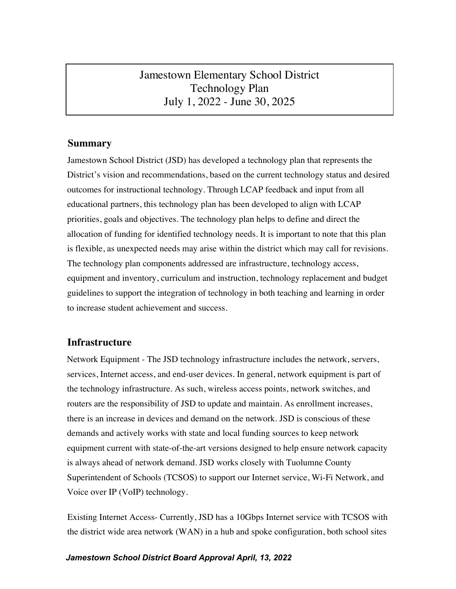# Jamestown Elementary School District Technology Plan July 1, 2022 - June 30, 2025

### **Summary**

Jamestown School District (JSD) has developed a technology plan that represents the District's vision and recommendations, based on the current technology status and desired outcomes for instructional technology. Through LCAP feedback and input from all educational partners, this technology plan has been developed to align with LCAP priorities, goals and objectives. The technology plan helps to define and direct the allocation of funding for identified technology needs. It is important to note that this plan is flexible, as unexpected needs may arise within the district which may call for revisions. The technology plan components addressed are infrastructure, technology access, equipment and inventory, curriculum and instruction, technology replacement and budget guidelines to support the integration of technology in both teaching and learning in order to increase student achievement and success.

### **Infrastructure**

Network Equipment - The JSD technology infrastructure includes the network, servers, services, Internet access, and end-user devices. In general, network equipment is part of the technology infrastructure. As such, wireless access points, network switches, and routers are the responsibility of JSD to update and maintain. As enrollment increases, there is an increase in devices and demand on the network. JSD is conscious of these demands and actively works with state and local funding sources to keep network equipment current with state-of-the-art versions designed to help ensure network capacity is always ahead of network demand. JSD works closely with Tuolumne County Superintendent of Schools (TCSOS) to support our Internet service, Wi-Fi Network, and Voice over IP (VoIP) technology.

Existing Internet Access- Currently, JSD has a 10Gbps Internet service with TCSOS with the district wide area network (WAN) in a hub and spoke configuration, both school sites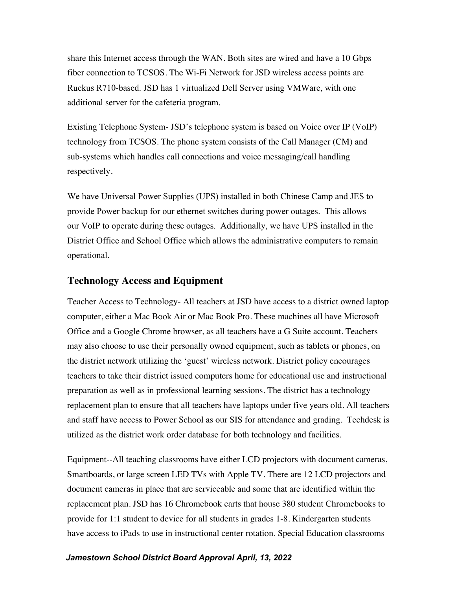share this Internet access through the WAN. Both sites are wired and have a 10 Gbps fiber connection to TCSOS. The Wi-Fi Network for JSD wireless access points are Ruckus R710-based. JSD has 1 virtualized Dell Server using VMWare, with one additional server for the cafeteria program.

Existing Telephone System- JSD's telephone system is based on Voice over IP (VoIP) technology from TCSOS. The phone system consists of the Call Manager (CM) and sub-systems which handles call connections and voice messaging/call handling respectively.

We have Universal Power Supplies (UPS) installed in both Chinese Camp and JES to provide Power backup for our ethernet switches during power outages. This allows our VoIP to operate during these outages. Additionally, we have UPS installed in the District Office and School Office which allows the administrative computers to remain operational.

### **Technology Access and Equipment**

Teacher Access to Technology- All teachers at JSD have access to a district owned laptop computer, either a Mac Book Air or Mac Book Pro. These machines all have Microsoft Office and a Google Chrome browser, as all teachers have a G Suite account. Teachers may also choose to use their personally owned equipment, such as tablets or phones, on the district network utilizing the 'guest' wireless network. District policy encourages teachers to take their district issued computers home for educational use and instructional preparation as well as in professional learning sessions. The district has a technology replacement plan to ensure that all teachers have laptops under five years old. All teachers and staff have access to Power School as our SIS for attendance and grading. Techdesk is utilized as the district work order database for both technology and facilities.

Equipment--All teaching classrooms have either LCD projectors with document cameras, Smartboards, or large screen LED TVs with Apple TV. There are 12 LCD projectors and document cameras in place that are serviceable and some that are identified within the replacement plan. JSD has 16 Chromebook carts that house 380 student Chromebooks to provide for 1:1 student to device for all students in grades 1-8. Kindergarten students have access to iPads to use in instructional center rotation. Special Education classrooms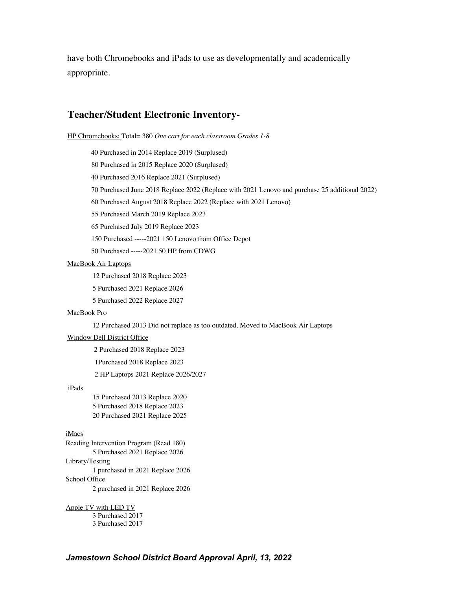have both Chromebooks and iPads to use as developmentally and academically appropriate.

### **Teacher/Student Electronic Inventory-**

HP Chromebooks: Total= 380 *One cart for each classroom Grades 1-8* 

40 Purchased in 2014 Replace 2019 (Surplused)

80 Purchased in 2015 Replace 2020 (Surplused)

40 Purchased 2016 Replace 2021 (Surplused)

70 Purchased June 2018 Replace 2022 (Replace with 2021 Lenovo and purchase 25 additional 2022)

60 Purchased August 2018 Replace 2022 (Replace with 2021 Lenovo)

55 Purchased March 2019 Replace 2023

65 Purchased July 2019 Replace 2023

150 Purchased -----2021 150 Lenovo from Office Depot

50 Purchased -----2021 50 HP from CDWG

MacBook Air Laptops

12 Purchased 2018 Replace 2023

5 Purchased 2021 Replace 2026

5 Purchased 2022 Replace 2027

#### MacBook Pro

12 Purchased 2013 Did not replace as too outdated. Moved to MacBook Air Laptops

#### Window Dell District Office

2 Purchased 2018 Replace 2023

1Purchased 2018 Replace 2023

2 HP Laptops 2021 Replace 2026/2027

#### iPads

15 Purchased 2013 Replace 2020 5 Purchased 2018 Replace 2023 20 Purchased 2021 Replace 2025

#### iMacs

Reading Intervention Program (Read 180) 5 Purchased 2021 Replace 2026 Library/Testing 1 purchased in 2021 Replace 2026 School Office 2 purchased in 2021 Replace 2026

Apple TV with LED TV 3 Purchased 2017 3 Purchased 2017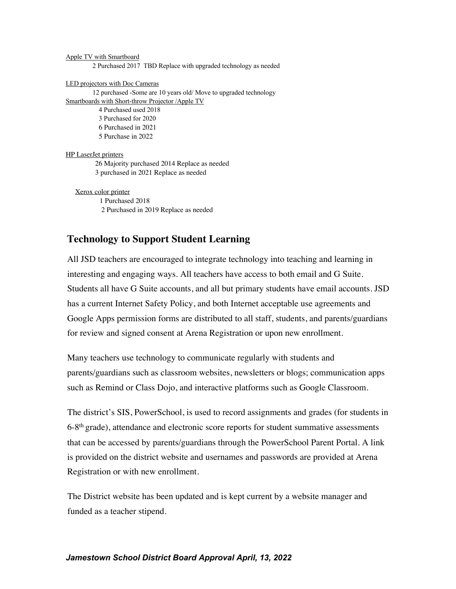#### Apple TV with Smartboard

2 Purchased 2017 TBD Replace with upgraded technology as needed

LED projectors with Doc Cameras

12 purchased -Some are 10 years old/ Move to upgraded technology Smartboards with Short-throw Projector /Apple TV 4 Purchased used 2018 3 Purchased for 2020 6 Purchased in 2021 5 Purchase in 2022 HP LaserJet printers

26 Majority purchased 2014 Replace as needed 3 purchased in 2021 Replace as needed

Xerox color printer 1 Purchased 2018 2 Purchased in 2019 Replace as needed

## **Technology to Support Student Learning**

All JSD teachers are encouraged to integrate technology into teaching and learning in interesting and engaging ways. All teachers have access to both email and G Suite. Students all have G Suite accounts, and all but primary students have email accounts. JSD has a current Internet Safety Policy, and both Internet acceptable use agreements and Google Apps permission forms are distributed to all staff, students, and parents/guardians for review and signed consent at Arena Registration or upon new enrollment.

Many teachers use technology to communicate regularly with students and parents/guardians such as classroom websites, newsletters or blogs; communication apps such as Remind or Class Dojo, and interactive platforms such as Google Classroom.

The district's SIS, PowerSchool, is used to record assignments and grades (for students in  $6-8<sup>th</sup>$  grade), attendance and electronic score reports for student summative assessments that can be accessed by parents/guardians through the PowerSchool Parent Portal. A link is provided on the district website and usernames and passwords are provided at Arena Registration or with new enrollment.

The District website has been updated and is kept current by a website manager and funded as a teacher stipend.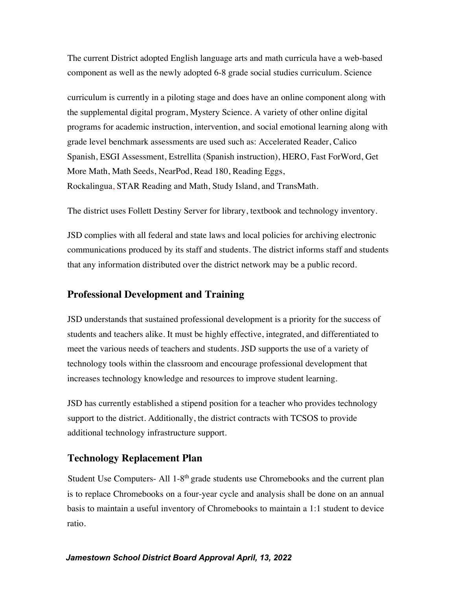The current District adopted English language arts and math curricula have a web-based component as well as the newly adopted 6-8 grade social studies curriculum. Science

curriculum is currently in a piloting stage and does have an online component along with the supplemental digital program, Mystery Science. A variety of other online digital programs for academic instruction, intervention, and social emotional learning along with grade level benchmark assessments are used such as: Accelerated Reader, Calico Spanish, ESGI Assessment, Estrellita (Spanish instruction), HERO, Fast ForWord, Get More Math, Math Seeds, NearPod, Read 180, Reading Eggs, Rockalingua, STAR Reading and Math, Study Island, and TransMath.

The district uses Follett Destiny Server for library, textbook and technology inventory.

JSD complies with all federal and state laws and local policies for archiving electronic communications produced by its staff and students. The district informs staff and students that any information distributed over the district network may be a public record.

## **Professional Development and Training**

JSD understands that sustained professional development is a priority for the success of students and teachers alike. It must be highly effective, integrated, and differentiated to meet the various needs of teachers and students. JSD supports the use of a variety of technology tools within the classroom and encourage professional development that increases technology knowledge and resources to improve student learning.

JSD has currently established a stipend position for a teacher who provides technology support to the district. Additionally, the district contracts with TCSOS to provide additional technology infrastructure support.

## **Technology Replacement Plan**

Student Use Computers- All 1-8<sup>th</sup> grade students use Chromebooks and the current plan is to replace Chromebooks on a four-year cycle and analysis shall be done on an annual basis to maintain a useful inventory of Chromebooks to maintain a 1:1 student to device ratio.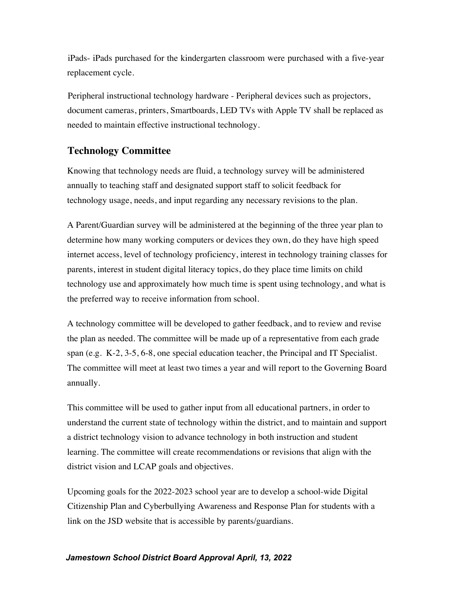iPads- iPads purchased for the kindergarten classroom were purchased with a five-year replacement cycle.

Peripheral instructional technology hardware - Peripheral devices such as projectors, document cameras, printers, Smartboards, LED TVs with Apple TV shall be replaced as needed to maintain effective instructional technology.

# **Technology Committee**

Knowing that technology needs are fluid, a technology survey will be administered annually to teaching staff and designated support staff to solicit feedback for technology usage, needs, and input regarding any necessary revisions to the plan.

A Parent/Guardian survey will be administered at the beginning of the three year plan to determine how many working computers or devices they own, do they have high speed internet access, level of technology proficiency, interest in technology training classes for parents, interest in student digital literacy topics, do they place time limits on child technology use and approximately how much time is spent using technology, and what is the preferred way to receive information from school.

A technology committee will be developed to gather feedback, and to review and revise the plan as needed. The committee will be made up of a representative from each grade span (e.g. K-2, 3-5, 6-8, one special education teacher, the Principal and IT Specialist. The committee will meet at least two times a year and will report to the Governing Board annually.

This committee will be used to gather input from all educational partners, in order to understand the current state of technology within the district, and to maintain and support a district technology vision to advance technology in both instruction and student learning. The committee will create recommendations or revisions that align with the district vision and LCAP goals and objectives.

Upcoming goals for the 2022-2023 school year are to develop a school-wide Digital Citizenship Plan and Cyberbullying Awareness and Response Plan for students with a link on the JSD website that is accessible by parents/guardians.